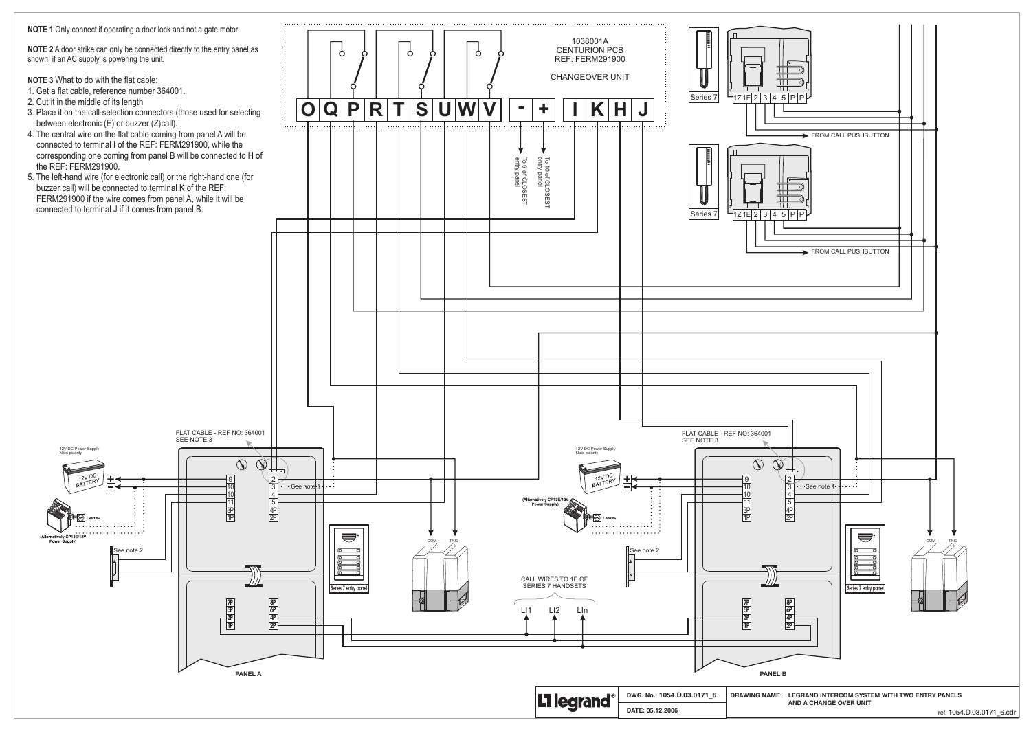